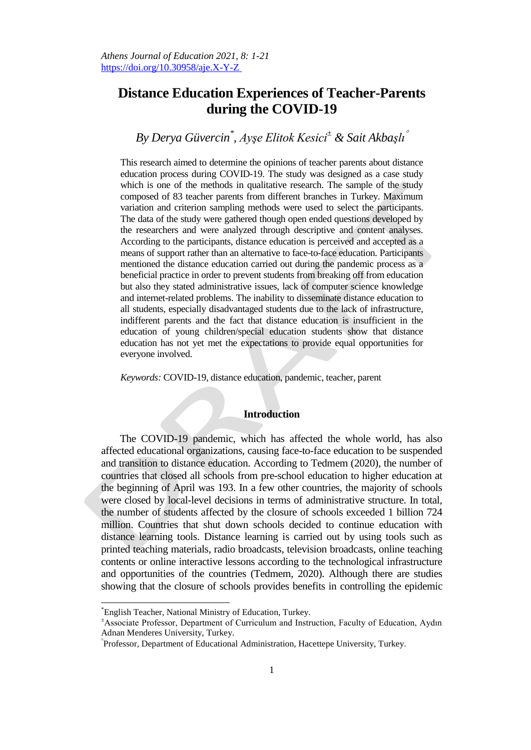# **Distance Education Experiences of Teacher-Parents during the COVID-19**

# *By Derya Güvercin\* , Ayşe Elitok Kesici<sup>±</sup> & Sait Akbaşlı*

This research aimed to determine the opinions of teacher parents about distance education process during COVID-19. The study was designed as a case study which is one of the methods in qualitative research. The sample of the study composed of 83 teacher parents from different branches in Turkey. Maximum variation and criterion sampling methods were used to select the participants. The data of the study were gathered though open ended questions developed by the researchers and were analyzed through descriptive and content analyses. According to the participants, distance education is perceived and accepted as a means of support rather than an alternative to face-to-face education. Participants mentioned the distance education carried out during the pandemic process as a beneficial practice in order to prevent students from breaking off from education but also they stated administrative issues, lack of computer science knowledge and internet-related problems. The inability to disseminate distance education to all students, especially disadvantaged students due to the lack of infrastructure, indifferent parents and the fact that distance education is insufficient in the education of young children/special education students show that distance education has not yet met the expectations to provide equal opportunities for everyone involved.

*Keywords:* COVID-19, distance education, pandemic, teacher, parent

# **Introduction**

The COVID-19 pandemic, which has affected the whole world, has also affected educational organizations, causing face-to-face education to be suspended and transition to distance education. According to Tedmem (2020), the number of countries that closed all schools from pre-school education to higher education at the beginning of April was 193. In a few other countries, the majority of schools were closed by local-level decisions in terms of administrative structure. In total, the number of students affected by the closure of schools exceeded 1 billion 724 million. Countries that shut down schools decided to continue education with distance learning tools. Distance learning is carried out by using tools such as printed teaching materials, radio broadcasts, television broadcasts, online teaching contents or online interactive lessons according to the technological infrastructure and opportunities of the countries (Tedmem, 2020). Although there are studies showing that the closure of schools provides benefits in controlling the epidemic

 $\overline{a}$ 

<sup>\*</sup>English Teacher, National Ministry of Education, Turkey.

<sup>±</sup>Associate Professor, Department of Curriculum and Instruction, Faculty of Education, Aydın Adnan Menderes University, Turkey.

Professor, Department of Educational Administration, Hacettepe University, Turkey.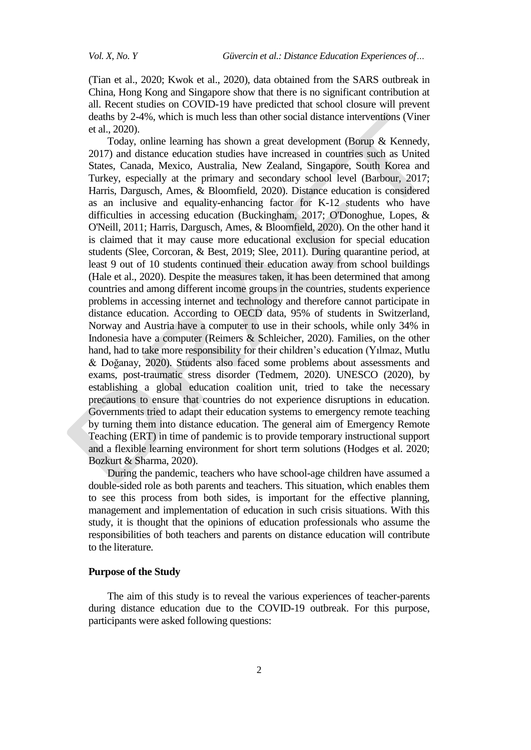(Tian et al., 2020; Kwok et al., 2020), data obtained from the SARS outbreak in China, Hong Kong and Singapore show that there is no significant contribution at all. Recent studies on COVID-19 have predicted that school closure will prevent deaths by 2-4%, which is much less than other social distance interventions (Viner et al., 2020).

Today, online learning has shown a great development (Borup & Kennedy, 2017) and distance education studies have increased in countries such as United States, Canada, Mexico, Australia, New Zealand, Singapore, South Korea and Turkey, especially at the primary and secondary school level (Barbour, 2017; Harris, Dargusch, Ames, & Bloomfield, 2020). Distance education is considered as an inclusive and equality-enhancing factor for K-12 students who have difficulties in accessing education (Buckingham, 2017; O'Donoghue, Lopes, & O'Neill, 2011; Harris, Dargusch, Ames, & Bloomfield, 2020). On the other hand it is claimed that it may cause more educational exclusion for special education students (Slee, Corcoran, & Best, 2019; Slee, 2011). During quarantine period, at least 9 out of 10 students continued their education away from school buildings (Hale et al., 2020). Despite the measures taken, it has been determined that among countries and among different income groups in the countries, students experience problems in accessing internet and technology and therefore cannot participate in distance education. According to OECD data, 95% of students in Switzerland, Norway and Austria have a computer to use in their schools, while only 34% in Indonesia have a computer (Reimers & Schleicher, 2020). Families, on the other hand, had to take more responsibility for their children's education (Yilmaz, Mutlu & Doğanay, 2020). Students also faced some problems about assessments and exams, post-traumatic stress disorder (Tedmem, 2020). UNESCO (2020), by establishing a global education coalition unit, tried to take the necessary precautions to ensure that countries do not experience disruptions in education. Governments tried to adapt their education systems to emergency remote teaching by turning them into distance education. The general aim of Emergency Remote Teaching (ERT) in time of pandemic is to provide temporary instructional support and a flexible learning environment for short term solutions (Hodges et al. 2020; Bozkurt & Sharma, 2020).

During the pandemic, teachers who have school-age children have assumed a double-sided role as both parents and teachers. This situation, which enables them to see this process from both sides, is important for the effective planning, management and implementation of education in such crisis situations. With this study, it is thought that the opinions of education professionals who assume the responsibilities of both teachers and parents on distance education will contribute to the literature.

# **Purpose of the Study**

The aim of this study is to reveal the various experiences of teacher-parents during distance education due to the COVID-19 outbreak. For this purpose, participants were asked following questions: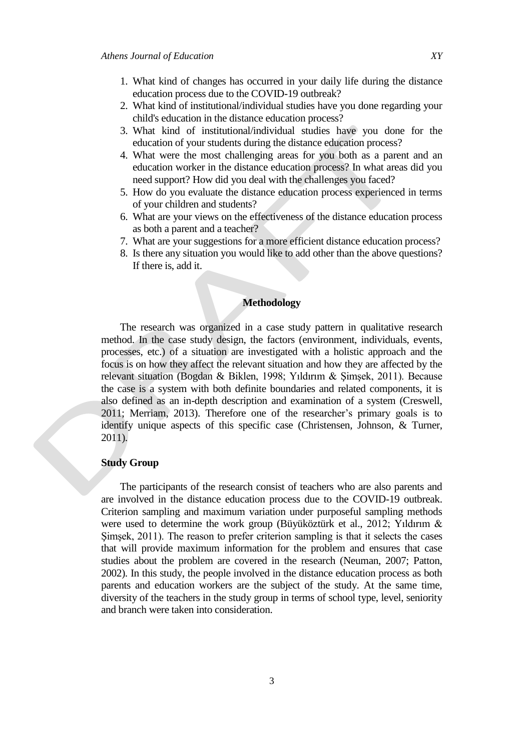- 1. What kind of changes has occurred in your daily life during the distance education process due to the COVID-19 outbreak?
- 2. What kind of institutional/individual studies have you done regarding your child's education in the distance education process?
- 3. What kind of institutional/individual studies have you done for the education of your students during the distance education process?
- 4. What were the most challenging areas for you both as a parent and an education worker in the distance education process? In what areas did you need support? How did you deal with the challenges you faced?
- 5. How do you evaluate the distance education process experienced in terms of your children and students?
- 6. What are your views on the effectiveness of the distance education process as both a parent and a teacher?
- 7. What are your suggestions for a more efficient distance education process?
- 8. Is there any situation you would like to add other than the above questions? If there is, add it.

# **Methodology**

The research was organized in a case study pattern in qualitative research method. In the case study design, the factors (environment, individuals, events, processes, etc.) of a situation are investigated with a holistic approach and the focus is on how they affect the relevant situation and how they are affected by the relevant situation (Bogdan & Biklen, 1998; Yıldırım & Şimşek, 2011). Because the case is a system with both definite boundaries and related components, it is also defined as an in-depth description and examination of a system (Creswell, 2011; Merriam, 2013). Therefore one of the researcher"s primary goals is to identify unique aspects of this specific case (Christensen, Johnson, & Turner, 2011).

# **Study Group**

The participants of the research consist of teachers who are also parents and are involved in the distance education process due to the COVID-19 outbreak. Criterion sampling and maximum variation under purposeful sampling methods were used to determine the work group (Büyüköztürk et al., 2012; Yıldırım & Şimşek, 2011). The reason to prefer criterion sampling is that it selects the cases that will provide maximum information for the problem and ensures that case studies about the problem are covered in the research (Neuman, 2007; Patton, 2002). In this study, the people involved in the distance education process as both parents and education workers are the subject of the study. At the same time, diversity of the teachers in the study group in terms of school type, level, seniority and branch were taken into consideration.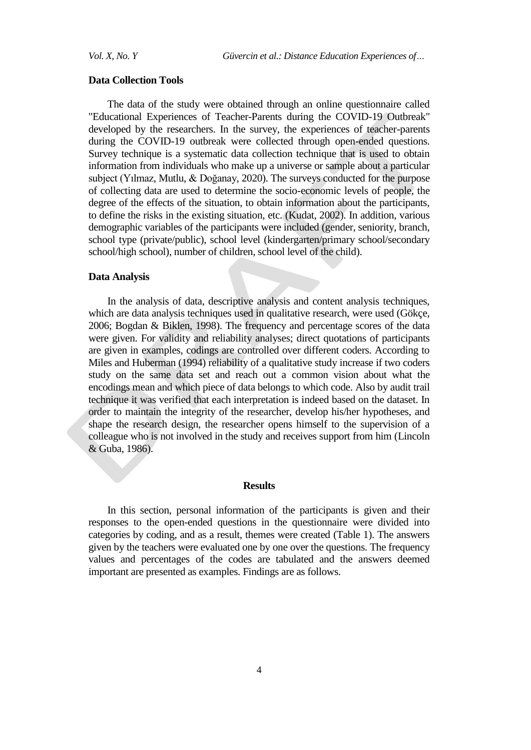#### **Data Collection Tools**

The data of the study were obtained through an online questionnaire called "Educational Experiences of Teacher-Parents during the COVID-19 Outbreak" developed by the researchers. In the survey, the experiences of teacher-parents during the COVID-19 outbreak were collected through open-ended questions. Survey technique is a systematic data collection technique that is used to obtain information from individuals who make up a universe or sample about a particular subject (Yılmaz, Mutlu, & Doğanay, 2020). The surveys conducted for the purpose of collecting data are used to determine the socio-economic levels of people, the degree of the effects of the situation, to obtain information about the participants, to define the risks in the existing situation, etc. (Kudat, 2002). In addition, various demographic variables of the participants were included (gender, seniority, branch, school type (private/public), school level (kindergarten/primary school/secondary school/high school), number of children, school level of the child).

#### **Data Analysis**

In the analysis of data, descriptive analysis and content analysis techniques, which are data analysis techniques used in qualitative research, were used (Gökçe, 2006; Bogdan & Biklen, 1998). The frequency and percentage scores of the data were given. For validity and reliability analyses; direct quotations of participants are given in examples, codings are controlled over different coders. According to Miles and Huberman (1994) reliability of a qualitative study increase if two coders study on the same data set and reach out a common vision about what the encodings mean and which piece of data belongs to which code. Also by audit trail technique it was verified that each interpretation is indeed based on the dataset. In order to maintain the integrity of the researcher, develop his/her hypotheses, and shape the research design, the researcher opens himself to the supervision of a colleague who is not involved in the study and receives support from him (Lincoln & Guba, 1986).

#### **Results**

In this section, personal information of the participants is given and their responses to the open-ended questions in the questionnaire were divided into categories by coding, and as a result, themes were created (Table 1). The answers given by the teachers were evaluated one by one over the questions. The frequency values and percentages of the codes are tabulated and the answers deemed important are presented as examples. Findings are as follows.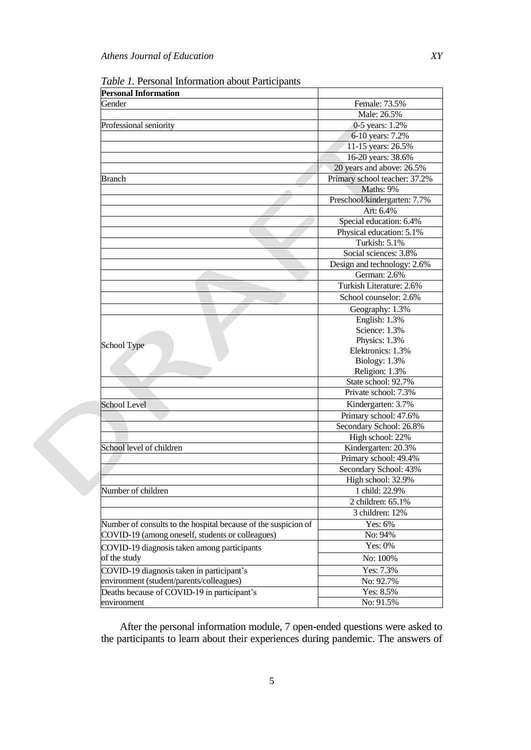*Table 1.* Personal Information about Participants

| <b>Personal Information</b>                                    |                                    |
|----------------------------------------------------------------|------------------------------------|
| Gender                                                         | Female: 73.5%                      |
|                                                                | Male: 26.5%                        |
| Professional seniority                                         | 0-5 years: 1.2%                    |
|                                                                | 6-10 years: 7.2%                   |
|                                                                | 11-15 years: 26.5%                 |
|                                                                | 16-20 years: 38.6%                 |
|                                                                | 20 years and above: 26.5%          |
| Branch                                                         | Primary school teacher: 37.2%      |
|                                                                | Maths: 9%                          |
|                                                                | Preschool/kindergarten: 7.7%       |
|                                                                | Art: 6.4%                          |
|                                                                | Special education: 6.4%            |
|                                                                | Physical education: 5.1%           |
|                                                                | Turkish: 5.1%                      |
|                                                                | Social sciences: 3.8%              |
|                                                                | Design and technology: 2.6%        |
|                                                                | German: 2.6%                       |
|                                                                | Turkish Literature: 2.6%           |
|                                                                | School counselor: 2.6%             |
|                                                                | Geography: 1.3%                    |
|                                                                | English: 1.3%                      |
|                                                                | Science: 1.3%                      |
| School Type                                                    | Physics: 1.3%<br>Elektronics: 1.3% |
|                                                                | Biology: 1.3%                      |
|                                                                | Religion: 1.3%                     |
|                                                                | State school: 92.7%                |
|                                                                | Private school: 7.3%               |
| School Level                                                   | Kindergarten: 3.7%                 |
|                                                                | Primary school: 47.6%              |
|                                                                | Secondary School: 26.8%            |
|                                                                | High school: 22%                   |
| School level of children                                       | Kindergarten: 20.3%                |
|                                                                | Primary school: 49.4%              |
|                                                                | Secondary School: 43%              |
|                                                                | High school: 32.9%                 |
| Number of children                                             | 1 child: 22.9%                     |
|                                                                | 2 children: 65.1%                  |
|                                                                | 3 children: 12%                    |
| Number of consults to the hospital because of the suspicion of | Yes: 6%                            |
| COVID-19 (among oneself, students or colleagues)               | No: 94%                            |
| COVID-19 diagnosis taken among participants                    | Yes: 0%                            |
| of the study                                                   | No: 100%                           |
| COVID-19 diagnosis taken in participant's                      | Yes: 7.3%                          |
| environment (student/parents/colleagues)                       | No: 92.7%                          |
| Deaths because of COVID-19 in participant's                    | Yes: 8.5%                          |
| environment                                                    | No: 91.5%                          |
|                                                                |                                    |

After the personal information module, 7 open-ended questions were asked to the participants to learn about their experiences during pandemic. The answers of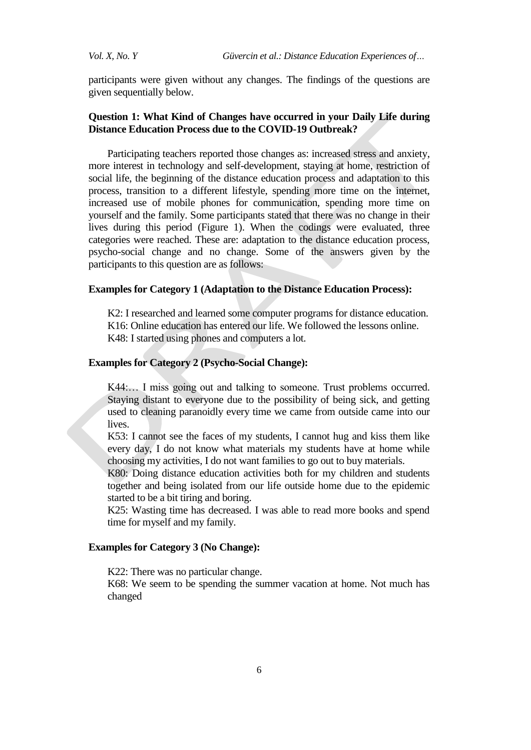participants were given without any changes. The findings of the questions are given sequentially below.

# **Question 1: What Kind of Changes have occurred in your Daily Life during Distance Education Process due to the COVID-19 Outbreak?**

Participating teachers reported those changes as: increased stress and anxiety, more interest in technology and self-development, staying at home, restriction of social life, the beginning of the distance education process and adaptation to this process, transition to a different lifestyle, spending more time on the internet, increased use of mobile phones for communication, spending more time on yourself and the family. Some participants stated that there was no change in their lives during this period (Figure 1). When the codings were evaluated, three categories were reached. These are: adaptation to the distance education process, psycho-social change and no change. Some of the answers given by the participants to this question are as follows:

# **Examples for Category 1 (Adaptation to the Distance Education Process):**

K2: I researched and learned some computer programs for distance education. K16: Online education has entered our life. We followed the lessons online. K48: I started using phones and computers a lot.

# **Examples for Category 2 (Psycho-Social Change):**

K44:… I miss going out and talking to someone. Trust problems occurred. Staying distant to everyone due to the possibility of being sick, and getting used to cleaning paranoidly every time we came from outside came into our lives.

K53: I cannot see the faces of my students, I cannot hug and kiss them like every day, I do not know what materials my students have at home while choosing my activities, I do not want families to go out to buy materials.

K80: Doing distance education activities both for my children and students together and being isolated from our life outside home due to the epidemic started to be a bit tiring and boring.

K25: Wasting time has decreased. I was able to read more books and spend time for myself and my family.

#### **Examples for Category 3 (No Change):**

K22: There was no particular change.

K68: We seem to be spending the summer vacation at home. Not much has changed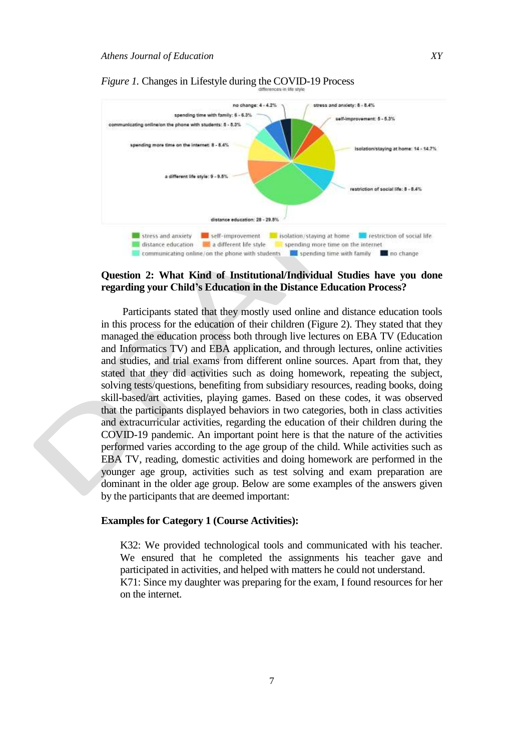

#### *Figure 1.* Changes in Lifestyle during the COVID-19 Process

# **Question 2: What Kind of Institutional/Individual Studies have you done regarding your Child's Education in the Distance Education Process?**

Participants stated that they mostly used online and distance education tools in this process for the education of their children (Figure 2). They stated that they managed the education process both through live lectures on EBA TV (Education and Informatics TV) and EBA application, and through lectures, online activities and studies, and trial exams from different online sources. Apart from that, they stated that they did activities such as doing homework, repeating the subject, solving tests/questions, benefiting from subsidiary resources, reading books, doing skill-based/art activities, playing games. Based on these codes, it was observed that the participants displayed behaviors in two categories, both in class activities and extracurricular activities, regarding the education of their children during the COVID-19 pandemic. An important point here is that the nature of the activities performed varies according to the age group of the child. While activities such as EBA TV, reading, domestic activities and doing homework are performed in the younger age group, activities such as test solving and exam preparation are dominant in the older age group. Below are some examples of the answers given by the participants that are deemed important:

# **Examples for Category 1 (Course Activities):**

K32: We provided technological tools and communicated with his teacher. We ensured that he completed the assignments his teacher gave and participated in activities, and helped with matters he could not understand. K71: Since my daughter was preparing for the exam, I found resources for her on the internet.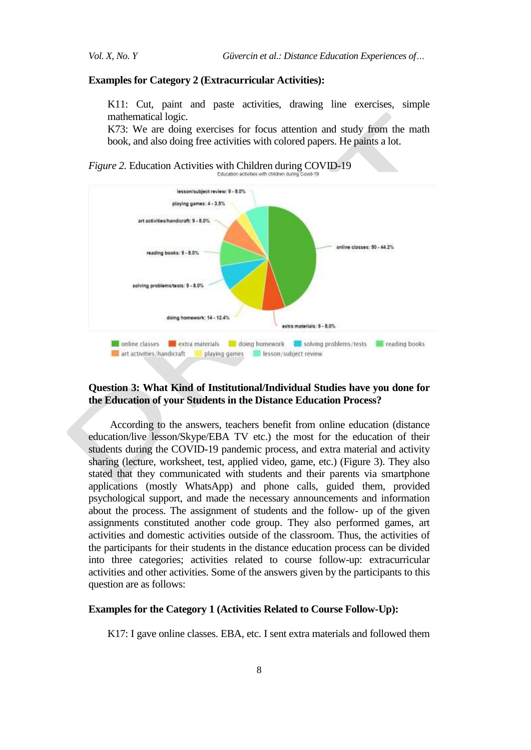# **Examples for Category 2 (Extracurricular Activities):**

K11: Cut, paint and paste activities, drawing line exercises, simple mathematical logic.

K73: We are doing exercises for focus attention and study from the math book, and also doing free activities with colored papers. He paints a lot.





# **Question 3: What Kind of Institutional/Individual Studies have you done for the Education of your Students in the Distance Education Process?**

According to the answers, teachers benefit from online education (distance education/live lesson/Skype/EBA TV etc.) the most for the education of their students during the COVID-19 pandemic process, and extra material and activity sharing (lecture, worksheet, test, applied video, game, etc.) (Figure 3). They also stated that they communicated with students and their parents via smartphone applications (mostly WhatsApp) and phone calls, guided them, provided psychological support, and made the necessary announcements and information about the process. The assignment of students and the follow- up of the given assignments constituted another code group. They also performed games, art activities and domestic activities outside of the classroom. Thus, the activities of the participants for their students in the distance education process can be divided into three categories; activities related to course follow-up: extracurricular activities and other activities. Some of the answers given by the participants to this question are as follows:

## **Examples for the Category 1 (Activities Related to Course Follow-Up):**

K17: I gave online classes. EBA, etc. I sent extra materials and followed them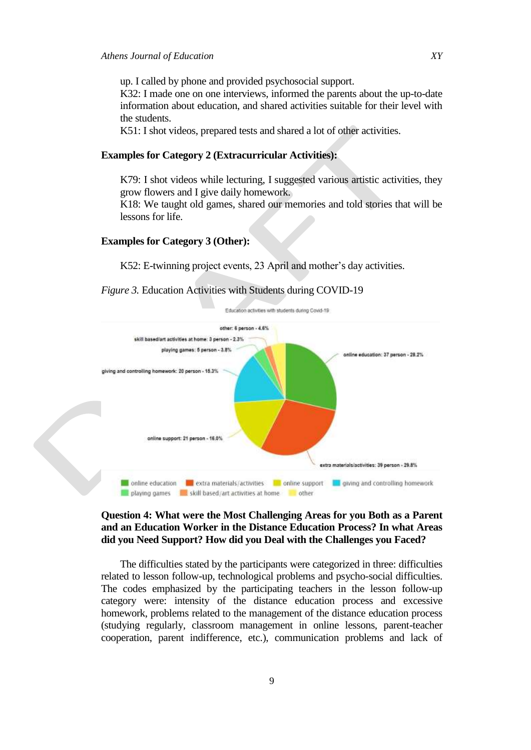up. I called by phone and provided psychosocial support.

K32: I made one on one interviews, informed the parents about the up-to-date information about education, and shared activities suitable for their level with the students.

K51: I shot videos, prepared tests and shared a lot of other activities.

# **Examples for Category 2 (Extracurricular Activities):**

K79: I shot videos while lecturing, I suggested various artistic activities, they grow flowers and I give daily homework.

K18: We taught old games, shared our memories and told stories that will be lessons for life.

#### **Examples for Category 3 (Other):**

K52: E-twinning project events, 23 April and mother's day activities.

*Figure 3.* Education Activities with Students during COVID-19



# **Question 4: What were the Most Challenging Areas for you Both as a Parent and an Education Worker in the Distance Education Process? In what Areas did you Need Support? How did you Deal with the Challenges you Faced?**

The difficulties stated by the participants were categorized in three: difficulties related to lesson follow-up, technological problems and psycho-social difficulties. The codes emphasized by the participating teachers in the lesson follow-up category were: intensity of the distance education process and excessive homework, problems related to the management of the distance education process (studying regularly, classroom management in online lessons, parent-teacher cooperation, parent indifference, etc.), communication problems and lack of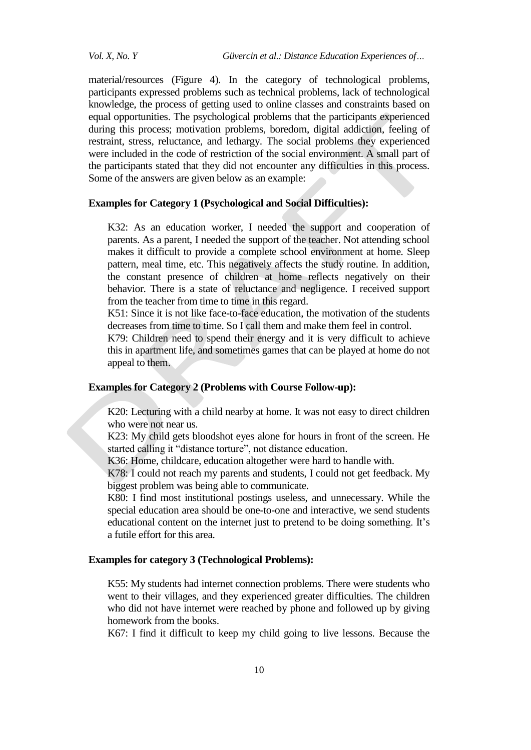*Vol. X, No. Y Güvercin et al.: Distance Education Experiences of…*

material/resources (Figure 4). In the category of technological problems, participants expressed problems such as technical problems, lack of technological knowledge, the process of getting used to online classes and constraints based on equal opportunities. The psychological problems that the participants experienced during this process; motivation problems, boredom, digital addiction, feeling of restraint, stress, reluctance, and lethargy. The social problems they experienced were included in the code of restriction of the social environment. A small part of the participants stated that they did not encounter any difficulties in this process. Some of the answers are given below as an example:

#### **Examples for Category 1 (Psychological and Social Difficulties):**

K32: As an education worker, I needed the support and cooperation of parents. As a parent, I needed the support of the teacher. Not attending school makes it difficult to provide a complete school environment at home. Sleep pattern, meal time, etc. This negatively affects the study routine. In addition, the constant presence of children at home reflects negatively on their behavior. There is a state of reluctance and negligence. I received support from the teacher from time to time in this regard.

K51: Since it is not like face-to-face education, the motivation of the students decreases from time to time. So I call them and make them feel in control.

K79: Children need to spend their energy and it is very difficult to achieve this in apartment life, and sometimes games that can be played at home do not appeal to them.

# **Examples for Category 2 (Problems with Course Follow-up):**

K20: Lecturing with a child nearby at home. It was not easy to direct children who were not near us.

K23: My child gets bloodshot eyes alone for hours in front of the screen. He started calling it "distance torture", not distance education.

K36: Home, childcare, education altogether were hard to handle with.

K78: I could not reach my parents and students, I could not get feedback. My biggest problem was being able to communicate.

K80: I find most institutional postings useless, and unnecessary. While the special education area should be one-to-one and interactive, we send students educational content on the internet just to pretend to be doing something. It's a futile effort for this area.

## **Examples for category 3 (Technological Problems):**

K55: My students had internet connection problems. There were students who went to their villages, and they experienced greater difficulties. The children who did not have internet were reached by phone and followed up by giving homework from the books.

K67: I find it difficult to keep my child going to live lessons. Because the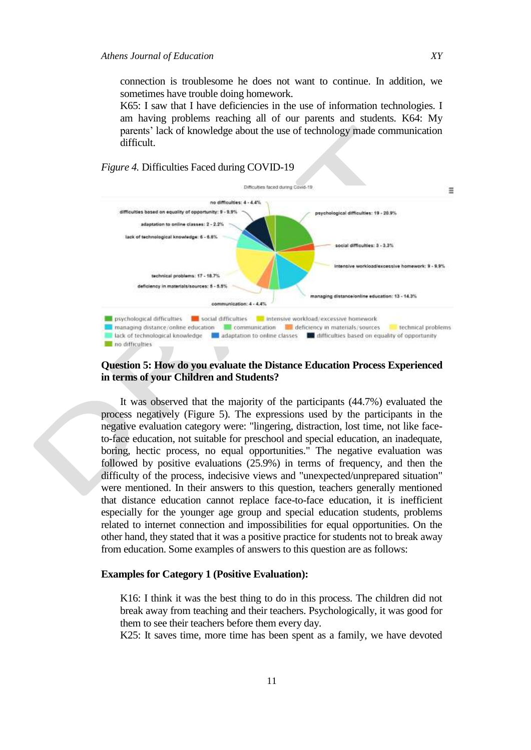connection is troublesome he does not want to continue. In addition, we sometimes have trouble doing homework.

K65: I saw that I have deficiencies in the use of information technologies. I am having problems reaching all of our parents and students. K64: My parents' lack of knowledge about the use of technology made communication difficult.



# **Question 5: How do you evaluate the Distance Education Process Experienced in terms of your Children and Students?**

It was observed that the majority of the participants (44.7%) evaluated the process negatively (Figure 5). The expressions used by the participants in the negative evaluation category were: "lingering, distraction, lost time, not like faceto-face education, not suitable for preschool and special education, an inadequate, boring, hectic process, no equal opportunities." The negative evaluation was followed by positive evaluations (25.9%) in terms of frequency, and then the difficulty of the process, indecisive views and "unexpected/unprepared situation" were mentioned. In their answers to this question, teachers generally mentioned that distance education cannot replace face-to-face education, it is inefficient especially for the younger age group and special education students, problems related to internet connection and impossibilities for equal opportunities. On the other hand, they stated that it was a positive practice for students not to break away from education. Some examples of answers to this question are as follows:

## **Examples for Category 1 (Positive Evaluation):**

K16: I think it was the best thing to do in this process. The children did not break away from teaching and their teachers. Psychologically, it was good for them to see their teachers before them every day.

K25: It saves time, more time has been spent as a family, we have devoted

# *Figure 4.* Difficulties Faced during COVID-19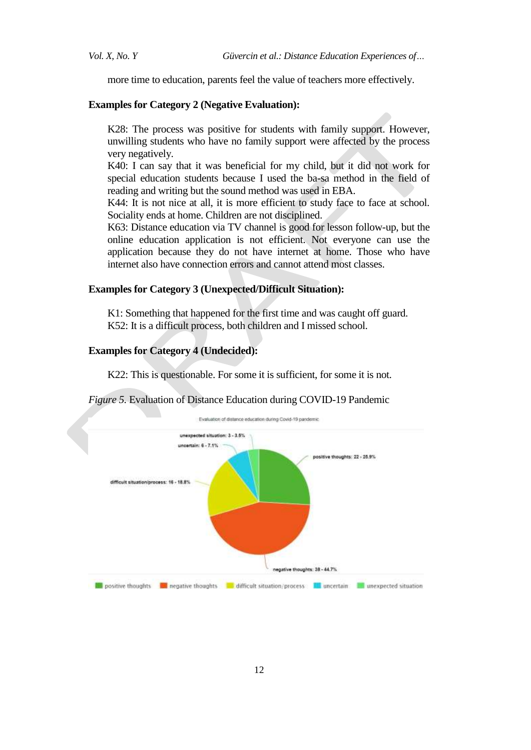*Vol. X, No. Y Güvercin et al.: Distance Education Experiences of…*

more time to education, parents feel the value of teachers more effectively.

## **Examples for Category 2 (Negative Evaluation):**

K28: The process was positive for students with family support. However, unwilling students who have no family support were affected by the process very negatively.

K40: I can say that it was beneficial for my child, but it did not work for special education students because I used the ba-sa method in the field of reading and writing but the sound method was used in EBA.

K44: It is not nice at all, it is more efficient to study face to face at school. Sociality ends at home. Children are not disciplined.

K63: Distance education via TV channel is good for lesson follow-up, but the online education application is not efficient. Not everyone can use the application because they do not have internet at home. Those who have internet also have connection errors and cannot attend most classes.

# **Examples for Category 3 (Unexpected/Difficult Situation):**

K1: Something that happened for the first time and was caught off guard. K52: It is a difficult process, both children and I missed school.

# **Examples for Category 4 (Undecided):**

K22: This is questionable. For some it is sufficient, for some it is not.

*Figure 5.* Evaluation of Distance Education during COVID-19 Pandemic

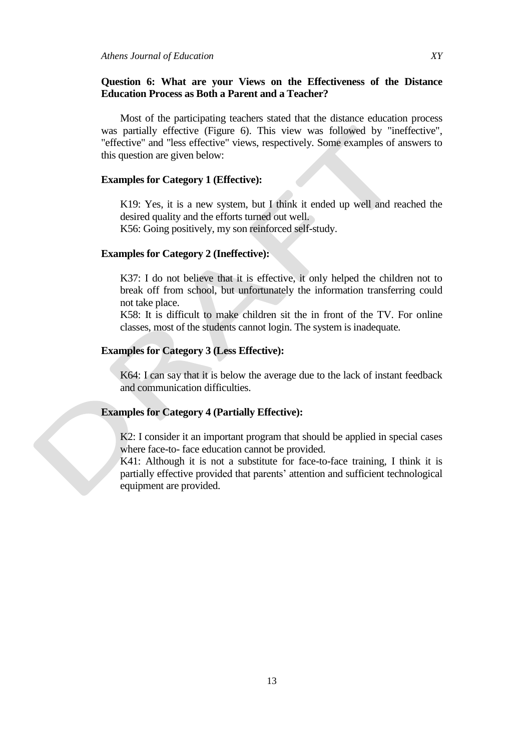# **Question 6: What are your Views on the Effectiveness of the Distance Education Process as Both a Parent and a Teacher?**

Most of the participating teachers stated that the distance education process was partially effective (Figure 6). This view was followed by "ineffective", "effective" and "less effective" views, respectively. Some examples of answers to this question are given below:

# **Examples for Category 1 (Effective):**

K19: Yes, it is a new system, but I think it ended up well and reached the desired quality and the efforts turned out well. K56: Going positively, my son reinforced self-study.

# **Examples for Category 2 (Ineffective):**

K37: I do not believe that it is effective, it only helped the children not to break off from school, but unfortunately the information transferring could not take place.

K58: It is difficult to make children sit the in front of the TV. For online classes, most of the students cannot login. The system is inadequate.

# **Examples for Category 3 (Less Effective):**

K64: I can say that it is below the average due to the lack of instant feedback and communication difficulties.

#### **Examples for Category 4 (Partially Effective):**

K2: I consider it an important program that should be applied in special cases where face-to- face education cannot be provided.

K41: Although it is not a substitute for face-to-face training, I think it is partially effective provided that parents' attention and sufficient technological equipment are provided.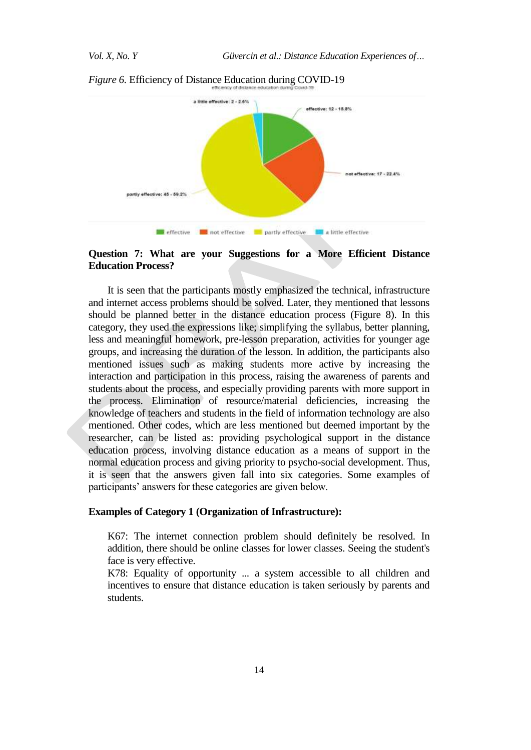*Vol. X, No. Y Güvercin et al.: Distance Education Experiences of…*



*Figure 6.* Efficiency of Distance Education during COVID-19

# **Question 7: What are your Suggestions for a More Efficient Distance Education Process?**

It is seen that the participants mostly emphasized the technical, infrastructure and internet access problems should be solved. Later, they mentioned that lessons should be planned better in the distance education process (Figure 8). In this category, they used the expressions like; simplifying the syllabus, better planning, less and meaningful homework, pre-lesson preparation, activities for younger age groups, and increasing the duration of the lesson. In addition, the participants also mentioned issues such as making students more active by increasing the interaction and participation in this process, raising the awareness of parents and students about the process, and especially providing parents with more support in the process. Elimination of resource/material deficiencies, increasing the knowledge of teachers and students in the field of information technology are also mentioned. Other codes, which are less mentioned but deemed important by the researcher, can be listed as: providing psychological support in the distance education process, involving distance education as a means of support in the normal education process and giving priority to psycho-social development. Thus, it is seen that the answers given fall into six categories. Some examples of participants' answers for these categories are given below.

# **Examples of Category 1 (Organization of Infrastructure):**

K67: The internet connection problem should definitely be resolved. In addition, there should be online classes for lower classes. Seeing the student's face is very effective.

K78: Equality of opportunity ... a system accessible to all children and incentives to ensure that distance education is taken seriously by parents and students.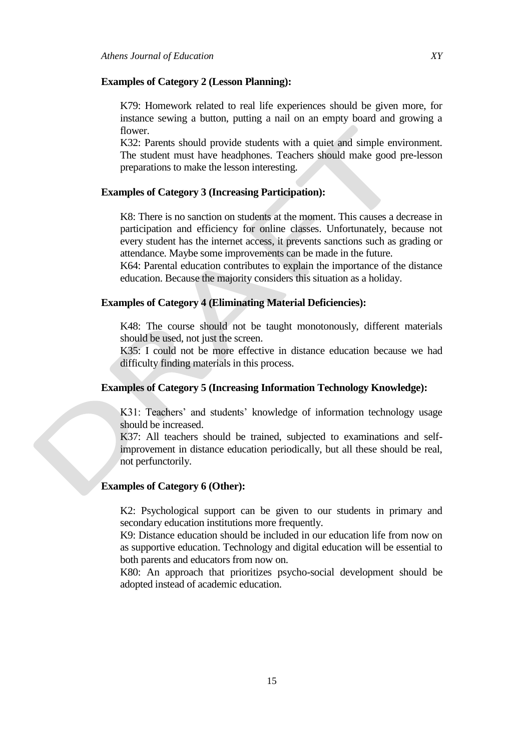#### **Examples of Category 2 (Lesson Planning):**

K79: Homework related to real life experiences should be given more, for instance sewing a button, putting a nail on an empty board and growing a flower.

K32: Parents should provide students with a quiet and simple environment. The student must have headphones. Teachers should make good pre-lesson preparations to make the lesson interesting.

## **Examples of Category 3 (Increasing Participation):**

K8: There is no sanction on students at the moment. This causes a decrease in participation and efficiency for online classes. Unfortunately, because not every student has the internet access, it prevents sanctions such as grading or attendance. Maybe some improvements can be made in the future.

K64: Parental education contributes to explain the importance of the distance education. Because the majority considers this situation as a holiday.

# **Examples of Category 4 (Eliminating Material Deficiencies):**

K48: The course should not be taught monotonously, different materials should be used, not just the screen.

K35: I could not be more effective in distance education because we had difficulty finding materials in this process.

# **Examples of Category 5 (Increasing Information Technology Knowledge):**

K31: Teachers' and students' knowledge of information technology usage should be increased.

K37: All teachers should be trained, subjected to examinations and selfimprovement in distance education periodically, but all these should be real, not perfunctorily.

# **Examples of Category 6 (Other):**

K2: Psychological support can be given to our students in primary and secondary education institutions more frequently.

K9: Distance education should be included in our education life from now on as supportive education. Technology and digital education will be essential to both parents and educators from now on.

K80: An approach that prioritizes psycho-social development should be adopted instead of academic education.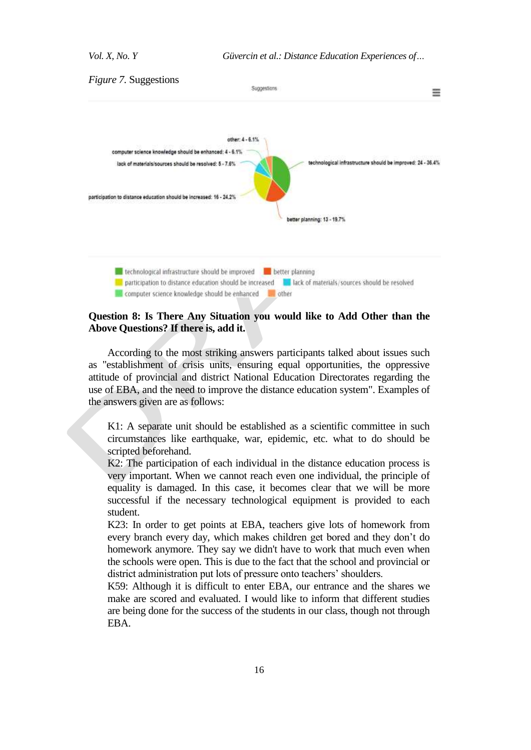

# **Question 8: Is There Any Situation you would like to Add Other than the Above Questions? If there is, add it.**

According to the most striking answers participants talked about issues such as "establishment of crisis units, ensuring equal opportunities, the oppressive attitude of provincial and district National Education Directorates regarding the use of EBA, and the need to improve the distance education system". Examples of the answers given are as follows:

K1: A separate unit should be established as a scientific committee in such circumstances like earthquake, war, epidemic, etc. what to do should be scripted beforehand.

K2: The participation of each individual in the distance education process is very important. When we cannot reach even one individual, the principle of equality is damaged. In this case, it becomes clear that we will be more successful if the necessary technological equipment is provided to each student.

K23: In order to get points at EBA, teachers give lots of homework from every branch every day, which makes children get bored and they don"t do homework anymore. They say we didn't have to work that much even when the schools were open. This is due to the fact that the school and provincial or district administration put lots of pressure onto teachers' shoulders.

K59: Although it is difficult to enter EBA, our entrance and the shares we make are scored and evaluated. I would like to inform that different studies are being done for the success of the students in our class, though not through EBA.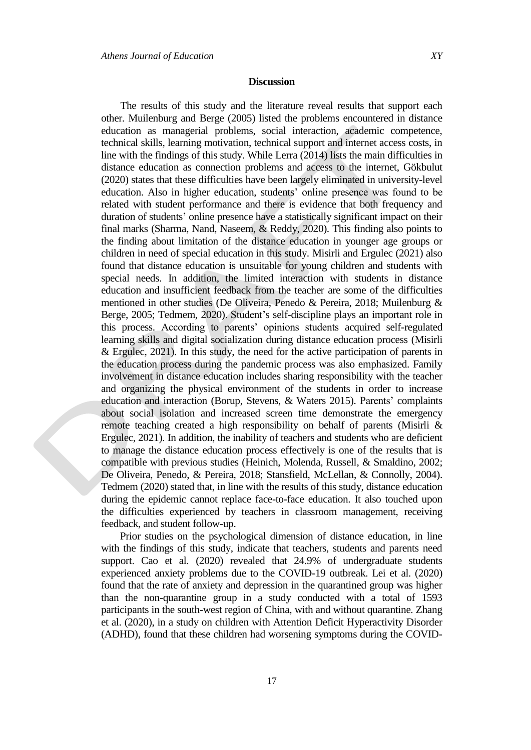#### **Discussion**

The results of this study and the literature reveal results that support each other. Muilenburg and Berge (2005) listed the problems encountered in distance education as managerial problems, social interaction, academic competence, technical skills, learning motivation, technical support and internet access costs, in line with the findings of this study. While Lerra (2014) lists the main difficulties in distance education as connection problems and access to the internet, Gökbulut (2020) states that these difficulties have been largely eliminated in university-level education. Also in higher education, students' online presence was found to be related with student performance and there is evidence that both frequency and duration of students" online presence have a statistically significant impact on their final marks (Sharma, Nand, Naseem, & Reddy, 2020). This finding also points to the finding about limitation of the distance education in younger age groups or children in need of special education in this study. Misirli and Ergulec (2021) also found that distance education is unsuitable for young children and students with special needs. In addition, the limited interaction with students in distance education and insufficient feedback from the teacher are some of the difficulties mentioned in other studies (De Oliveira, Penedo & Pereira, 2018; Muilenburg & Berge, 2005; Tedmem, 2020). Student"s self-discipline plays an important role in this process. According to parents" opinions students acquired self-regulated learning skills and digital socialization during distance education process (Misirli & Ergulec, 2021). In this study, the need for the active participation of parents in the education process during the pandemic process was also emphasized. Family involvement in distance education includes sharing responsibility with the teacher and organizing the physical environment of the students in order to increase education and interaction (Borup, Stevens, & Waters 2015). Parents' complaints about social isolation and increased screen time demonstrate the emergency remote teaching created a high responsibility on behalf of parents (Misirli & Ergulec, 2021). In addition, the inability of teachers and students who are deficient to manage the distance education process effectively is one of the results that is compatible with previous studies (Heinich, Molenda, Russell, & Smaldino, 2002; De Oliveira, Penedo, & Pereira, 2018; Stansfield, McLellan, & Connolly, 2004). Tedmem (2020) stated that, in line with the results of this study, distance education during the epidemic cannot replace face-to-face education. It also touched upon the difficulties experienced by teachers in classroom management, receiving feedback, and student follow-up.

Prior studies on the psychological dimension of distance education, in line with the findings of this study, indicate that teachers, students and parents need support. Cao et al. (2020) revealed that 24.9% of undergraduate students experienced anxiety problems due to the COVID-19 outbreak. Lei et al. (2020) found that the rate of anxiety and depression in the quarantined group was higher than the non-quarantine group in a study conducted with a total of 1593 participants in the south-west region of China, with and without quarantine. Zhang et al. (2020), in a study on children with Attention Deficit Hyperactivity Disorder (ADHD), found that these children had worsening symptoms during the COVID-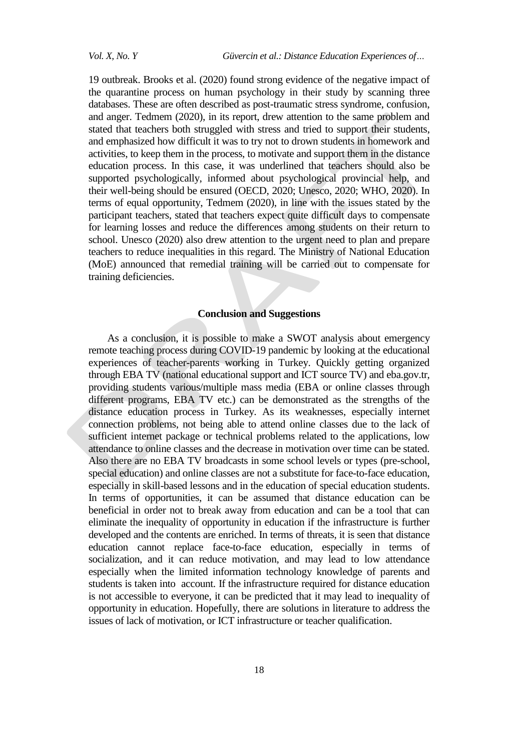19 outbreak. Brooks et al. (2020) found strong evidence of the negative impact of the quarantine process on human psychology in their study by scanning three databases. These are often described as post-traumatic stress syndrome, confusion, and anger. Tedmem (2020), in its report, drew attention to the same problem and stated that teachers both struggled with stress and tried to support their students, and emphasized how difficult it was to try not to drown students in homework and activities, to keep them in the process, to motivate and support them in the distance education process. In this case, it was underlined that teachers should also be supported psychologically, informed about psychological provincial help, and their well-being should be ensured (OECD, 2020; Unesco, 2020; WHO, 2020). In terms of equal opportunity, Tedmem (2020), in line with the issues stated by the participant teachers, stated that teachers expect quite difficult days to compensate for learning losses and reduce the differences among students on their return to school. Unesco (2020) also drew attention to the urgent need to plan and prepare teachers to reduce inequalities in this regard. The Ministry of National Education (MoE) announced that remedial training will be carried out to compensate for training deficiencies.

#### **Conclusion and Suggestions**

As a conclusion, it is possible to make a SWOT analysis about emergency remote teaching process during COVID-19 pandemic by looking at the educational experiences of teacher-parents working in Turkey. Quickly getting organized through EBA TV (national educational support and ICT source TV) and eba.gov.tr, providing students various/multiple mass media (EBA or online classes through different programs, EBA TV etc.) can be demonstrated as the strengths of the distance education process in Turkey. As its weaknesses, especially internet connection problems, not being able to attend online classes due to the lack of sufficient internet package or technical problems related to the applications, low attendance to online classes and the decrease in motivation over time can be stated. Also there are no EBA TV broadcasts in some school levels or types (pre-school, special education) and online classes are not a substitute for face-to-face education, especially in skill-based lessons and in the education of special education students. In terms of opportunities, it can be assumed that distance education can be beneficial in order not to break away from education and can be a tool that can eliminate the inequality of opportunity in education if the infrastructure is further developed and the contents are enriched. In terms of threats, it is seen that distance education cannot replace face-to-face education, especially in terms of socialization, and it can reduce motivation, and may lead to low attendance especially when the limited information technology knowledge of parents and students is taken into account. If the infrastructure required for distance education is not accessible to everyone, it can be predicted that it may lead to inequality of opportunity in education. Hopefully, there are solutions in literature to address the issues of lack of motivation, or ICT infrastructure or teacher qualification.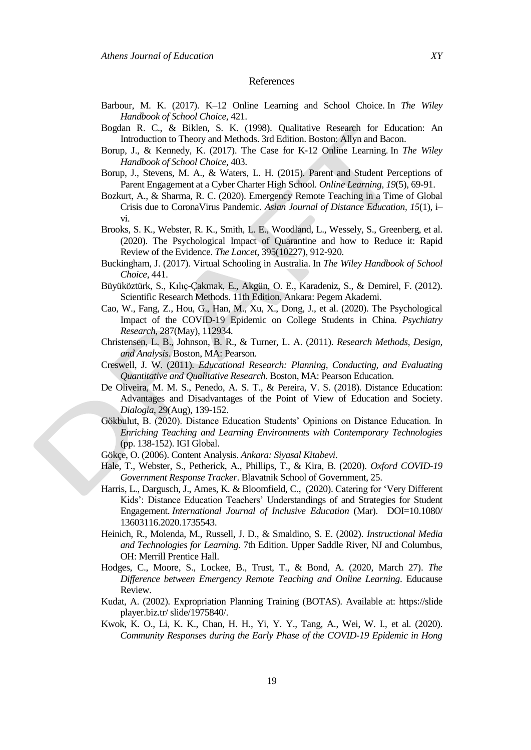#### References

- Barbour, M. K. (2017). K–12 Online Learning and School Choice. In *The Wiley Handbook of School Choice*, 421.
- Bogdan R. C., & Biklen, S. K. (1998). Qualitative Research for Education: An Introduction to Theory and Methods. 3rd Edition. Boston: Allyn and Bacon.
- Borup, J., & Kennedy, K. (2017). The Case for K‐12 Online Learning. In *The Wiley Handbook of School Choice*, 403.
- Borup, J., Stevens, M. A., & Waters, L. H. (2015). Parent and Student Perceptions of Parent Engagement at a Cyber Charter High School. *Online Learning*, *19*(5), 69-91.
- Bozkurt, A., & Sharma, R. C. (2020). Emergency Remote Teaching in a Time of Global Crisis due to CoronaVirus Pandemic. *Asian Journal of Distance Education, 15*(1), i– vi.
- Brooks, S. K., Webster, R. K., Smith, L. E., Woodland, L., Wessely, S., Greenberg, et al. (2020). The Psychological Impact of Quarantine and how to Reduce it: Rapid Review of the Evidence. *The Lancet*, 395(10227), 912-920.
- Buckingham, J. (2017). Virtual Schooling in Australia. In *The Wiley Handbook of School Choice*, 441.
- Büyüköztürk, S., Kılıç-Çakmak, E., Akgün, O. E., Karadeniz, S., & Demirel, F. (2012). Scientific Research Methods. 11th Edition. Ankara: Pegem Akademi.
- Cao, W., Fang, Z., Hou, G., Han, M., Xu, X., Dong, J., et al. (2020). The Psychological Impact of the COVID-19 Epidemic on College Students in China. *Psychiatry Research*, 287(May), 112934.
- Christensen, L. B., Johnson, B. R., & Turner, L. A. (2011). *Research Methods, Design, and Analysis*. Boston, MA: Pearson.
- Creswell, J. W. (2011). *Educational Research: Planning, Conducting, and Evaluating Quantitative and Qualitative Research*. Boston, MA: Pearson Education.
- De Oliveira, M. M. S., Penedo, A. S. T., & Pereira, V. S. (2018). Distance Education: Advantages and Disadvantages of the Point of View of Education and Society. *Dialogia*, 29(Aug), 139-152.
- Gökbulut, B. (2020). Distance Education Students" Opinions on Distance Education. In *Enriching Teaching and Learning Environments with Contemporary Technologies*  (pp. 138-152). IGI Global.
- Gökçe, O. (2006). Content Analysis. *Ankara: Siyasal Kitabevi*.
- Hale, T., Webster, S., Petherick, A., Phillips, T., & Kira, B. (2020). *Oxford COVID-19 Government Response Tracker*. Blavatnik School of Government, 25.
- Harris, L., Dargusch, J., Ames, K. & Bloomfield, C., (2020). Catering for "Very Different Kids': Distance Education Teachers' Understandings of and Strategies for Student Engagement. *International Journal of Inclusive Education* (Mar). DOI[=10.1080/](https://doi.org/10.1080/13603116.2020.1735543) [13603116.2020.1735543.](https://doi.org/10.1080/13603116.2020.1735543)
- Heinich, R., Molenda, M., Russell, J. D., & Smaldino, S. E. (2002). *Instructional Media and Technologies for Learning.* 7th Edition. Upper Saddle River, NJ and Columbus, OH: Merrill Prentice Hall.
- Hodges, C., Moore, S., Lockee, B., Trust, T., & Bond, A. (2020, March 27). *The Difference between Emergency Remote Teaching and Online Learning*. Educause Review.
- Kudat, A. (2002). Expropriation Planning Training (BOTAS). Available at: https://slide player.biz.tr/ slide/1975840/.
- Kwok, K. O., Li, K. K., Chan, H. H., Yi, Y. Y., Tang, A., Wei, W. I., et al. (2020). *Community Responses during the Early Phase of the COVID-19 Epidemic in Hong*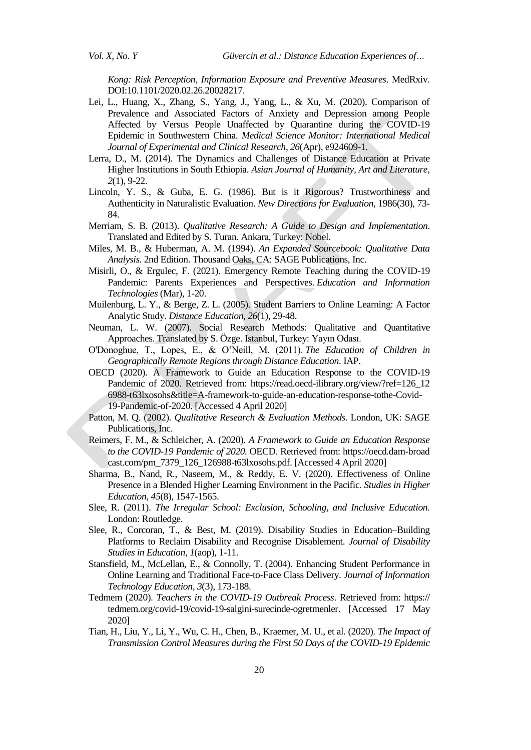*Kong: Risk Perception, Information Exposure and Preventive Measures*. MedRxiv. DOI:10.1101/2020.02.26.20028217.

- Lei, L., Huang, X., Zhang, S., Yang, J., Yang, L., & Xu, M. (2020). Comparison of Prevalence and Associated Factors of Anxiety and Depression among People Affected by Versus People Unaffected by Quarantine during the COVID-19 Epidemic in Southwestern China. *Medical Science Monitor: International Medical Journal of Experimental and Clinical Research*, *26*(Apr), e924609-1.
- Lerra, D., M. (2014). The Dynamics and Challenges of Distance Education at Private Higher Institutions in South Ethiopia. *Asian Journal of Humanity, Art and Literature*, *2*(1), 9-22.
- Lincoln, Y. S., & Guba, E. G. (1986). But is it Rigorous? Trustworthiness and Authenticity in Naturalistic Evaluation. *New Directions for Evaluation,* 1986(30), 73- 84.
- Merriam, S. B. (2013). *Qualitative Research: A Guide to Design and Implementation*. Translated and Edited by S. Turan. Ankara, Turkey: Nobel.
- Miles, M. B., & Huberman, A. M. (1994). *An Expanded Sourcebook: Qualitative Data Analysis.* 2nd Edition. Thousand Oaks, CA: SAGE Publications, Inc.
- Misirli, O., & Ergulec, F. (2021). Emergency Remote Teaching during the COVID-19 Pandemic: Parents Experiences and Perspectives. *Education and Information Technologies* (Mar), 1-20.
- Muilenburg, L. Y., & Berge, Z. L. (2005). Student Barriers to Online Learning: A Factor Analytic Study. *Distance Education*, *26*(1), 29-48.
- Neuman, L. W. (2007). Social Research Methods: Qualitative and Quantitative Approaches. Translated by S. Özge. Istanbul, Turkey: Yayın Odası.
- O'Donoghue, T., Lopes, E., & O"Neill, M. (2011). *The Education of Children in Geographically Remote Regions through Distance Education*. IAP.
- OECD (2020). A Framework to Guide an Education Response to the COVID-19 Pandemic of 2020. Retrieved from: https://read.oecd-ilibrary.org/view/?ref=126\_12 6988-t63lxosohs&title=A-framework-to-guide-an-education-response-tothe-Covid-19-Pandemic-of-2020. [Accessed 4 April 2020]
- Patton, M. Q. (2002). *Qualitative Research & Evaluation Methods*. London, UK: SAGE Publications, Inc.
- Reimers, F. M., & Schleicher, A. (2020). *A Framework to Guide an Education Response to the COVID-19 Pandemic of 2020.* OECD. Retrieved from: https://oecd.dam-broad cast.com/pm\_7379\_126\_126988-t63lxosohs.pdf. [Accessed 4 April 2020]
- Sharma, B., Nand, R., Naseem, M., & Reddy, E. V. (2020). Effectiveness of Online Presence in a Blended Higher Learning Environment in the Pacific. *Studies in Higher Education*, *45*(8), 1547-1565.
- Slee, R. (2011). *The Irregular School: Exclusion, Schooling, and Inclusive Education*. London: Routledge.
- Slee, R., Corcoran, T., & Best, M. (2019). Disability Studies in Education–Building Platforms to Reclaim Disability and Recognise Disablement. *Journal of Disability Studies in Education*, *1*(aop), 1-11.
- Stansfield, M., McLellan, E., & Connolly, T. (2004). Enhancing Student Performance in Online Learning and Traditional Face-to-Face Class Delivery. *Journal of Information Technology Education, 3*(3), 173-188.
- Tedmem (2020). *Teachers in the COVID-19 Outbreak Process*. Retrieved from: https:// tedmem.org/covid-19/covid-19-salgini-surecinde-ogretmenler. [Accessed 17 May 2020]
- Tian, H., Liu, Y., Li, Y., Wu, C. H., Chen, B., Kraemer, M. U., et al. (2020). *The Impact of Transmission Control Measures during the First 50 Days of the COVID-19 Epidemic*